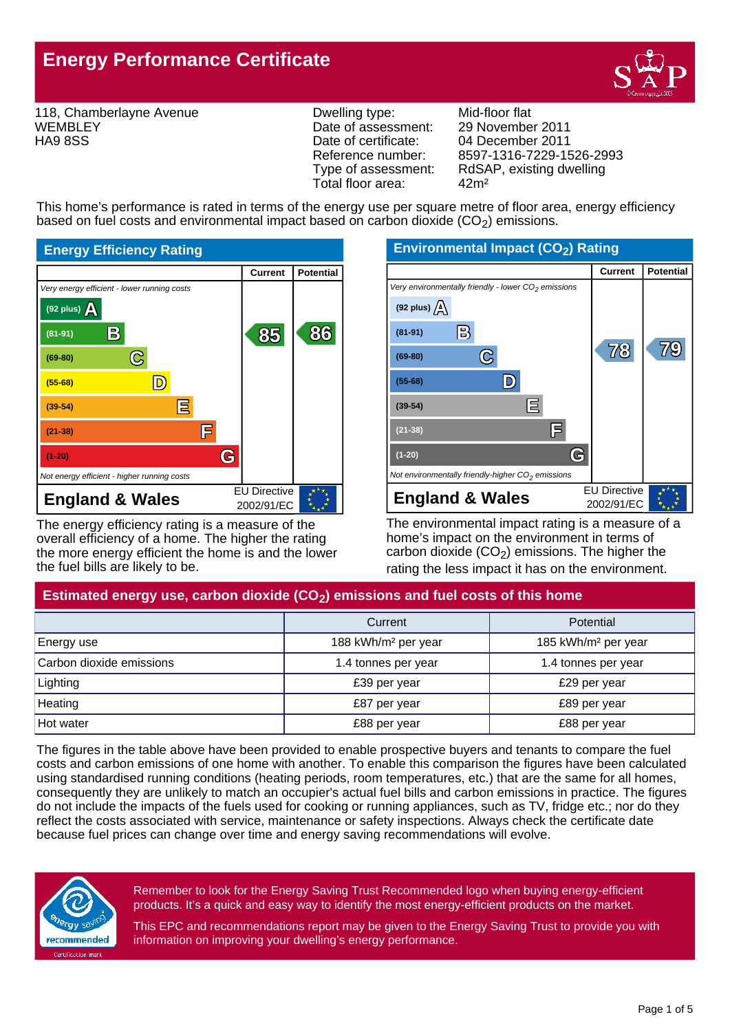

118, Chamberlayne Avenue **WEMBLEY** HA9 8SS

Dwelling type: Mid-floor flat<br>Date of assessment: 29 November 2011 Date of assessment:<br>Date of certificate: Date of certificate: 04 December 2011<br>Reference number: 8597-1316-7229-15 Total floor area: 42m²

Reference number: 8597-1316-7229-1526-2993<br>Type of assessment: RdSAP, existing dwelling RdSAP, existing dwelling

This home's performance is rated in terms of the energy use per square metre of floor area, energy efficiency based on fuel costs and environmental impact based on carbon dioxide (CO<sub>2</sub>) emissions.



The energy efficiency rating is a measure of the overall efficiency of a home. The higher the rating the more energy efficient the home is and the lower the fuel bills are likely to be.



The environmental impact rating is a measure of a home's impact on the environment in terms of carbon dioxide  $(CO<sub>2</sub>)$  emissions. The higher the rating the less impact it has on the environment.

# Estimated energy use, carbon dioxide (CO<sub>2</sub>) emissions and fuel costs of this home

|                          | Potential<br>Current            |                                 |
|--------------------------|---------------------------------|---------------------------------|
| Energy use               | 188 kWh/m <sup>2</sup> per year | 185 kWh/m <sup>2</sup> per year |
| Carbon dioxide emissions | 1.4 tonnes per year             | 1.4 tonnes per year             |
| Lighting                 | £39 per year                    | £29 per year                    |
| Heating                  | £87 per year                    | £89 per year                    |
| Hot water                | £88 per year                    | £88 per year                    |

The figures in the table above have been provided to enable prospective buyers and tenants to compare the fuel costs and carbon emissions of one home with another. To enable this comparison the figures have been calculated using standardised running conditions (heating periods, room temperatures, etc.) that are the same for all homes, consequently they are unlikely to match an occupier's actual fuel bills and carbon emissions in practice. The figures do not include the impacts of the fuels used for cooking or running appliances, such as TV, fridge etc.; nor do they reflect the costs associated with service, maintenance or safety inspections. Always check the certificate date because fuel prices can change over time and energy saving recommendations will evolve.



Remember to look for the Energy Saving Trust Recommended logo when buying energy-efficient products. It's a quick and easy way to identify the most energy-efficient products on the market.

This EPC and recommendations report may be given to the Energy Saving Trust to provide you with information on improving your dwelling's energy performance.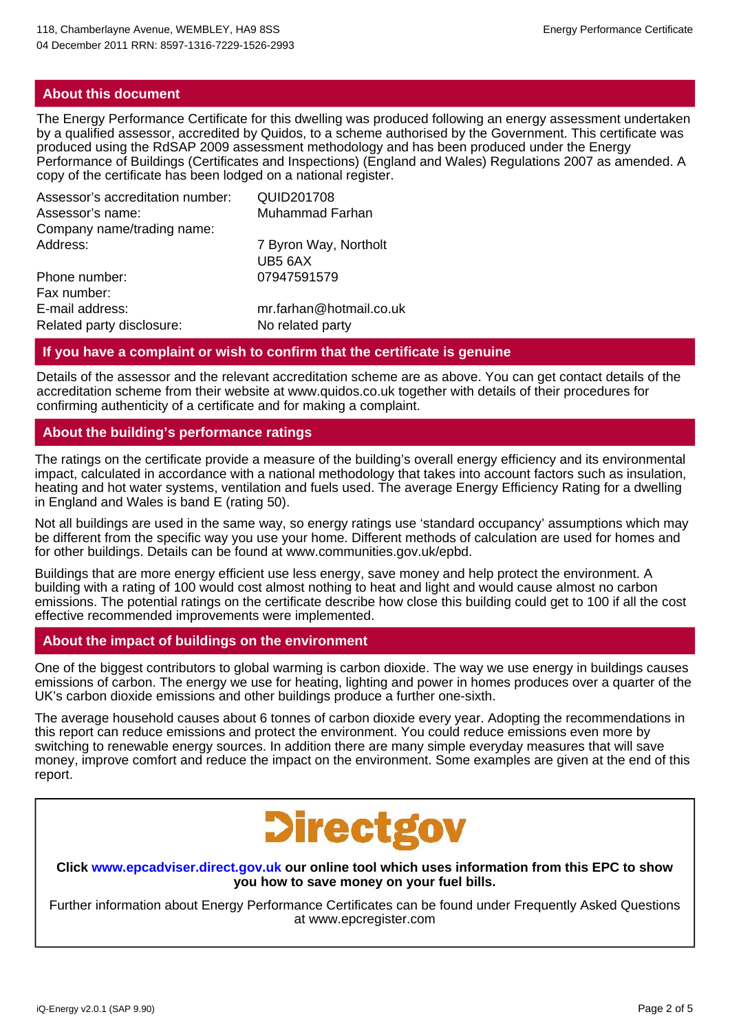### **About this document**

The Energy Performance Certificate for this dwelling was produced following an energy assessment undertaken by a qualified assessor, accredited by Quidos, to a scheme authorised by the Government. This certificate was produced using the RdSAP 2009 assessment methodology and has been produced under the Energy Performance of Buildings (Certificates and Inspections) (England and Wales) Regulations 2007 as amended. A copy of the certificate has been lodged on a national register.

| Assessor's accreditation number: | QUID201708              |
|----------------------------------|-------------------------|
| Assessor's name:                 | Muhammad Farhan         |
| Company name/trading name:       |                         |
| Address:                         | 7 Byron Way, Northolt   |
|                                  | UB5 6AX                 |
| Phone number:                    | 07947591579             |
| Fax number:                      |                         |
| E-mail address:                  | mr.farhan@hotmail.co.uk |
| Related party disclosure:        | No related party        |

### **If you have a complaint or wish to confirm that the certificate is genuine**

Details of the assessor and the relevant accreditation scheme are as above. You can get contact details of the accreditation scheme from their website at www.quidos.co.uk together with details of their procedures for confirming authenticity of a certificate and for making a complaint.

# **About the building's performance ratings**

The ratings on the certificate provide a measure of the building's overall energy efficiency and its environmental impact, calculated in accordance with a national methodology that takes into account factors such as insulation, heating and hot water systems, ventilation and fuels used. The average Energy Efficiency Rating for a dwelling in England and Wales is band E (rating 50).

Not all buildings are used in the same way, so energy ratings use 'standard occupancy' assumptions which may be different from the specific way you use your home. Different methods of calculation are used for homes and for other buildings. Details can be found at www.communities.gov.uk/epbd.

Buildings that are more energy efficient use less energy, save money and help protect the environment. A building with a rating of 100 would cost almost nothing to heat and light and would cause almost no carbon emissions. The potential ratings on the certificate describe how close this building could get to 100 if all the cost effective recommended improvements were implemented.

### **About the impact of buildings on the environment**

One of the biggest contributors to global warming is carbon dioxide. The way we use energy in buildings causes emissions of carbon. The energy we use for heating, lighting and power in homes produces over a quarter of the UK's carbon dioxide emissions and other buildings produce a further one-sixth.

The average household causes about 6 tonnes of carbon dioxide every year. Adopting the recommendations in this report can reduce emissions and protect the environment. You could reduce emissions even more by switching to renewable energy sources. In addition there are many simple everyday measures that will save money, improve comfort and reduce the impact on the environment. Some examples are given at the end of this report.



### **Click www.epcadviser.direct.gov.uk our online tool which uses information from this EPC to show you how to save money on your fuel bills.**

Further information about Energy Performance Certificates can be found under Frequently Asked Questions at www.epcregister.com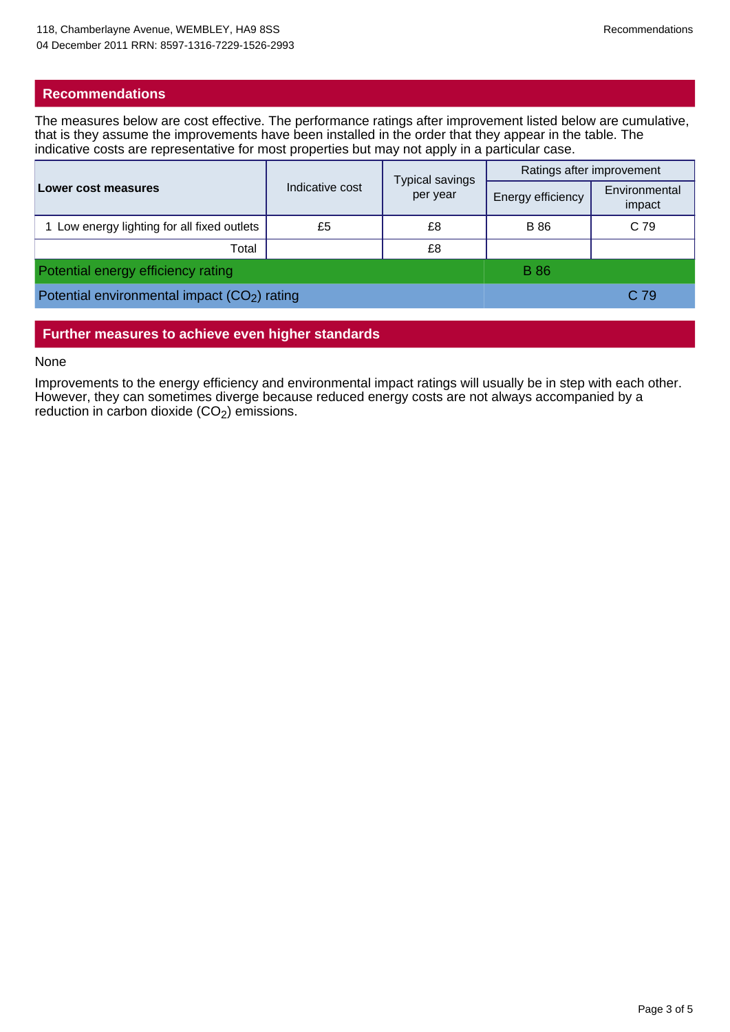# **Recommendations**

The measures below are cost effective. The performance ratings after improvement listed below are cumulative, that is they assume the improvements have been installed in the order that they appear in the table. The indicative costs are representative for most properties but may not apply in a particular case.

| Lower cost measures                           | Indicative cost | <b>Typical savings</b><br>per year | Ratings after improvement |                         |
|-----------------------------------------------|-----------------|------------------------------------|---------------------------|-------------------------|
|                                               |                 |                                    | Energy efficiency         | Environmental<br>impact |
| 1 Low energy lighting for all fixed outlets   | £5              | £8                                 | <b>B</b> 86               | C 79                    |
| Total                                         |                 | £8                                 |                           |                         |
| Potential energy efficiency rating            |                 |                                    | <b>B</b> 86               |                         |
| Potential environmental impact $(CO2)$ rating |                 |                                    | C 79                      |                         |

# **Further measures to achieve even higher standards**

#### None

Improvements to the energy efficiency and environmental impact ratings will usually be in step with each other. However, they can sometimes diverge because reduced energy costs are not always accompanied by a reduction in carbon dioxide  $(CO<sub>2</sub>)$  emissions.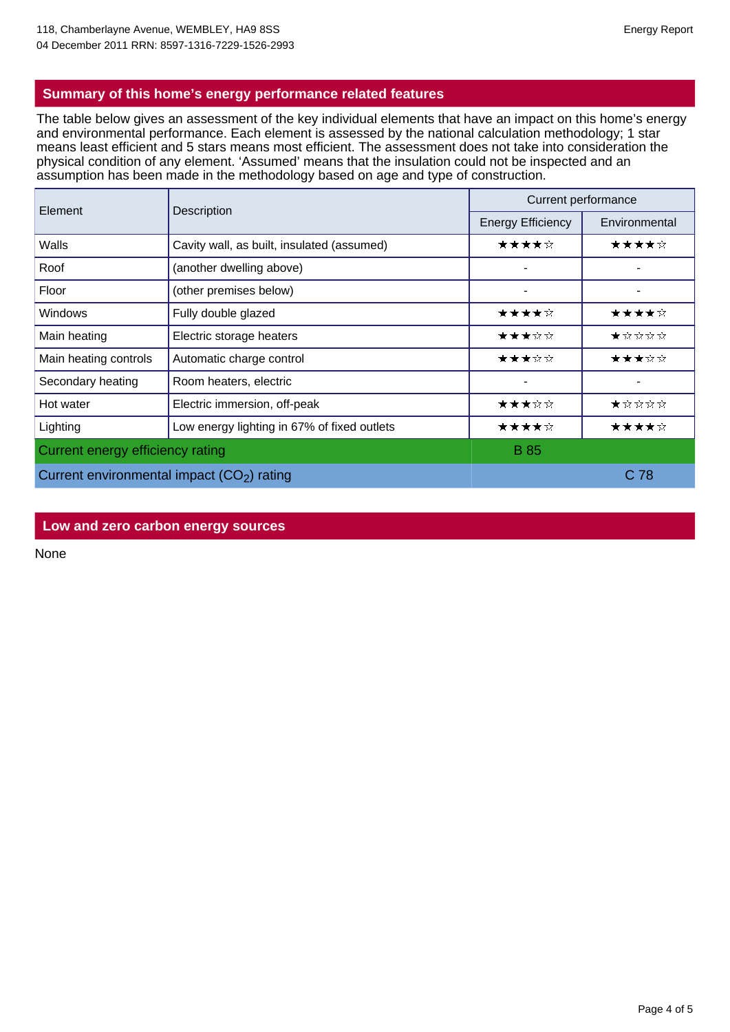# **Summary of this home's energy performance related features**

The table below gives an assessment of the key individual elements that have an impact on this home's energy and environmental performance. Each element is assessed by the national calculation methodology; 1 star means least efficient and 5 stars means most efficient. The assessment does not take into consideration the physical condition of any element. 'Assumed' means that the insulation could not be inspected and an assumption has been made in the methodology based on age and type of construction.

| Element                                     | Description                                 | Current performance      |                                                                                        |  |
|---------------------------------------------|---------------------------------------------|--------------------------|----------------------------------------------------------------------------------------|--|
|                                             |                                             | <b>Energy Efficiency</b> | Environmental                                                                          |  |
| Walls                                       | Cavity wall, as built, insulated (assumed)  | ★★★★☆                    | ★★★★☆                                                                                  |  |
| Roof                                        | (another dwelling above)                    |                          |                                                                                        |  |
| Floor                                       | (other premises below)                      |                          |                                                                                        |  |
| <b>Windows</b>                              | Fully double glazed                         | ★★★★☆                    | ★★★★☆                                                                                  |  |
| Main heating                                | Electric storage heaters                    | ★★★☆☆                    | $\bigstar$ $\dot{\mathbf{x}}$ $\dot{\mathbf{x}}$ $\dot{\mathbf{x}}$ $\dot{\mathbf{x}}$ |  |
| Main heating controls                       | Automatic charge control                    | ★★★☆☆                    | ★★★☆☆                                                                                  |  |
| Secondary heating                           | Room heaters, electric                      |                          | -                                                                                      |  |
| Hot water                                   | Electric immersion, off-peak                | ★★★☆☆                    | $\star$ * * * *                                                                        |  |
| Lighting                                    | Low energy lighting in 67% of fixed outlets | ★★★★☆                    | ★★★★☆                                                                                  |  |
| Current energy efficiency rating            |                                             | <b>B</b> 85              |                                                                                        |  |
| Current environmental impact $(CO2)$ rating |                                             |                          | C 78                                                                                   |  |

### **Low and zero carbon energy sources**

None